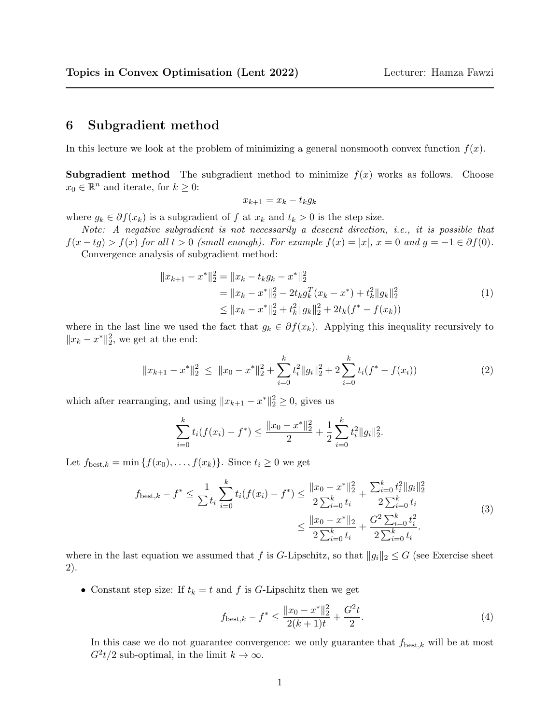## <span id="page-0-0"></span>6 Subgradient method

In this lecture we look at the problem of minimizing a general nonsmooth convex function  $f(x)$ .

**Subgradient method** The subgradient method to minimize  $f(x)$  works as follows. Choose  $x_0 \in \mathbb{R}^n$  and iterate, for  $k \geq 0$ :

$$
x_{k+1} = x_k - t_k g_k
$$

where  $g_k \in \partial f(x_k)$  is a subgradient of f at  $x_k$  and  $t_k > 0$  is the step size.

Note: A negative subgradient is not necessarily a descent direction, i.e., it is possible that  $f(x - tg) > f(x)$  for all  $t > 0$  (small enough). For example  $f(x) = |x|, x = 0$  and  $g = -1 \in \partial f(0)$ . Convergence analysis of subgradient method:

$$
||x_{k+1} - x^*||_2^2 = ||x_k - t_k g_k - x^*||_2^2
$$
  
=  $||x_k - x^*||_2^2 - 2t_k g_k^T (x_k - x^*) + t_k^2 ||g_k||_2^2$   
 $\le ||x_k - x^*||_2^2 + t_k^2 ||g_k||_2^2 + 2t_k (f^* - f(x_k))$  (1)

where in the last line we used the fact that  $g_k \in \partial f(x_k)$ . Applying this inequality recursively to  $||x_k - x^*||_2^2$ , we get at the end:

$$
||x_{k+1} - x^*||_2^2 \le ||x_0 - x^*||_2^2 + \sum_{i=0}^k t_i^2 ||g_i||_2^2 + 2 \sum_{i=0}^k t_i (f^* - f(x_i))
$$
 (2)

which after rearranging, and using  $||x_{k+1} - x^*||_2^2 \ge 0$ , gives us

$$
\sum_{i=0}^k t_i (f(x_i) - f^*) \le \frac{\|x_0 - x^*\|_2^2}{2} + \frac{1}{2} \sum_{i=0}^k t_i^2 \|g_i\|_2^2.
$$

Let  $f_{\text{best},k} = \min\{f(x_0), \ldots, f(x_k)\}\)$ . Since  $t_i \geq 0$  we get

$$
f_{\text{best},k} - f^* \le \frac{1}{\sum t_i} \sum_{i=0}^k t_i (f(x_i) - f^*) \le \frac{\|x_0 - x^*\|_2^2}{2 \sum_{i=0}^k t_i} + \frac{\sum_{i=0}^k t_i^2 \|g_i\|_2^2}{2 \sum_{i=0}^k t_i}
$$
  
 
$$
\le \frac{\|x_0 - x^*\|_2}{2 \sum_{i=0}^k t_i} + \frac{G^2 \sum_{i=0}^k t_i^2}{2 \sum_{i=0}^k t_i}.
$$
 (3)

where in the last equation we assumed that f is G-Lipschitz, so that  $||g_i||_2 \leq G$  (see Exercise sheet 2).

• Constant step size: If  $t_k = t$  and f is G-Lipschitz then we get

$$
f_{\text{best},k} - f^* \le \frac{\|x_0 - x^*\|_2^2}{2(k+1)t} + \frac{G^2t}{2}.\tag{4}
$$

In this case we do not guarantee convergence: we only guarantee that  $f_{\text{best},k}$  will be at most  $G^2t/2$  sub-optimal, in the limit  $k \to \infty$ .